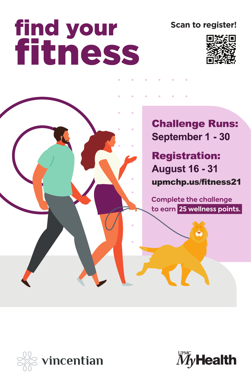# **find your<br>fitness**

**Scan to register!**



**Challenge Runs:** September 1 - 30

**Registration: August 16 - 31** upmchp.us/fitness21

**Complete the challenge to earn 25 wellness points.**



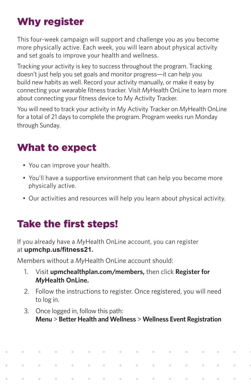## Why register

This four-week campaign will support and challenge you as you become more physically active. Each week, you will learn about physical activity and set goals to improve your health and wellness.

Tracking your activity is key to success throughout the program. Tracking doesn't just help you set goals and monitor progress—it can help you build new habits as well. Record your activity manually, or make it easy by connecting your wearable fitness tracker. Visit *My*Health OnLine to learn more about connecting your fitness device to My Activity Tracker.

You will need to track your activity in My Activity Tracker on *My*Health OnLine for a total of 21 days to complete the program. Program weeks run Monday through Sunday.

## What to expect

- You can improve your health.
- You'll have a supportive environment that can help you become more physically active.
- Our activities and resources will help you learn about physical activity.

# Take the first steps!

 $\ddot{\phantom{a}}$ 

 $\hat{\mathbf{c}}$ 

 $\ddot{\bullet}$ 

 $\hat{\mathbf{e}}$ 

 $\ddot{\bullet}$ 

 $\ddot{\phantom{1}}$ 

If you already have a *My*Health OnLine account, you can register at **upmchp.us/fitness21.**

Members without a *My*Health OnLine account should:

 $\ddot{\phantom{a}}$ 

 $\ddot{\phantom{a}}$ 

 $\ddot{\phantom{0}}$ 

 $\ddot{\bullet}$ 

 $\bullet$ 

- 1. Visit **upmchealthplan.com/members,** then click **Register for** *My***Health OnLine.**
- 2. Follow the instructions to register. Once registered, you will need to log in.
- 3. Once logged in, follow this path: **Menu** > **Better Health and Wellness** > **Wellness Event Registration**

 $\hat{\mathbf{0}}$ 

 $\ddot{\phantom{1}}$ 

 $\sim$ 

 $\bullet$ 

 $\ddot{\phantom{1}}$ 

 $\ddot{\bullet}$ 

 $\ddot{\phantom{0}}$ 

 $\hat{\mathbf{e}}$ 

 $\ddot{\phantom{1}}$ 

 $\ddot{\phantom{1}}$ 

 $\ddot{\phantom{0}}$ 

 $\ddot{\phantom{1}}$ 

 $\ddot{\phantom{1}}$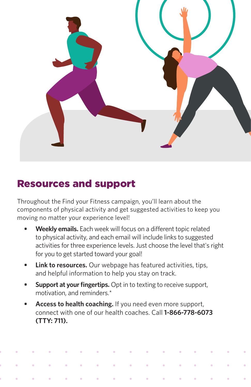

### Resources and support

Throughout the Find your Fitness campaign, you'll learn about the components of physical activity and get suggested activities to keep you moving no matter your experience level!

- **• Weekly emails.** Each week will focus on a different topic related to physical activity, and each email will include links to suggested activities for three experience levels. Just choose the level that's right for you to get started toward your goal!
- **• Link to resources.** Our webpage has featured activities, tips, and helpful information to help you stay on track.
- **• Support at your fingertips.** Opt in to texting to receive support, motivation, and reminders.\*
- **• Access to health coaching.** If you need even more support, connect with one of our health coaches. Call **1-866-778-6073 (TTY: 711).**